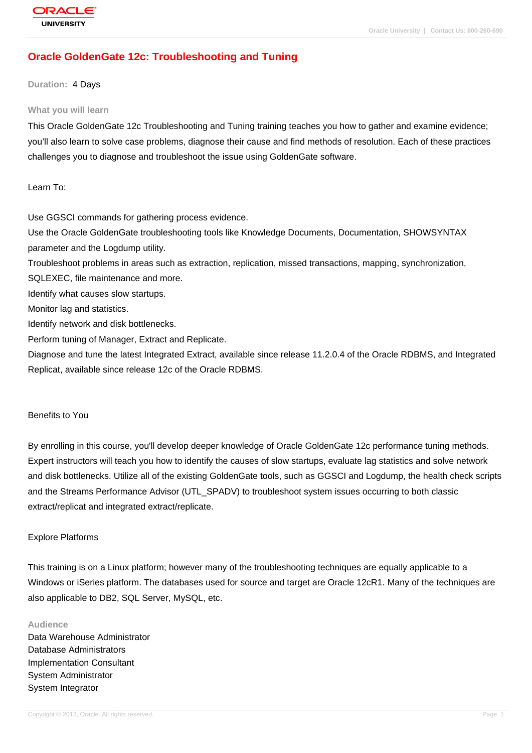# **[Oracle Golden](http://education.oracle.com/pls/web_prod-plq-dad/db_pages.getpage?page_id=3)Gate 12c: Troubleshooting and Tuning**

#### **Duration:** 4 Days

#### **What you will learn**

This Oracle GoldenGate 12c Troubleshooting and Tuning training teaches you how to gather and examine evidence; you'll also learn to solve case problems, diagnose their cause and find methods of resolution. Each of these practices challenges you to diagnose and troubleshoot the issue using GoldenGate software.

Learn To:

Use GGSCI commands for gathering process evidence.

Use the Oracle GoldenGate troubleshooting tools like Knowledge Documents, Documentation, SHOWSYNTAX parameter and the Logdump utility.

Troubleshoot problems in areas such as extraction, replication, missed transactions, mapping, synchronization,

SQLEXEC, file maintenance and more.

Identify what causes slow startups.

Monitor lag and statistics.

Identify network and disk bottlenecks.

Perform tuning of Manager, Extract and Replicate.

Diagnose and tune the latest Integrated Extract, available since release 11.2.0.4 of the Oracle RDBMS, and Integrated Replicat, available since release 12c of the Oracle RDBMS.

#### Benefits to You

By enrolling in this course, you'll develop deeper knowledge of Oracle GoldenGate 12c performance tuning methods. Expert instructors will teach you how to identify the causes of slow startups, evaluate lag statistics and solve network and disk bottlenecks. Utilize all of the existing GoldenGate tools, such as GGSCI and Logdump, the health check scripts and the Streams Performance Advisor (UTL\_SPADV) to troubleshoot system issues occurring to both classic extract/replicat and integrated extract/replicate.

### Explore Platforms

This training is on a Linux platform; however many of the troubleshooting techniques are equally applicable to a Windows or iSeries platform. The databases used for source and target are Oracle 12cR1. Many of the techniques are also applicable to DB2, SQL Server, MySQL, etc.

#### **Audience**

Data Warehouse Administrator Database Administrators Implementation Consultant System Administrator System Integrator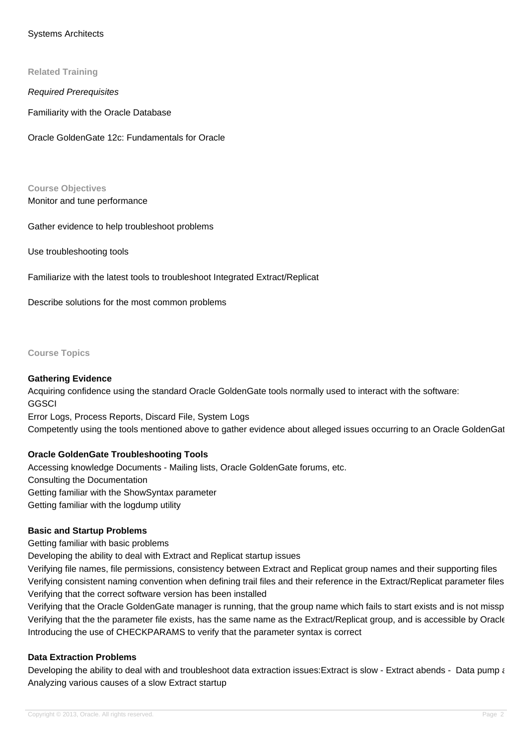### Systems Architects

#### **Related Training**

Required Prerequisites

Familiarity with the Oracle Database

Oracle GoldenGate 12c: Fundamentals for Oracle

**Course Objectives** Monitor and tune performance

Gather evidence to help troubleshoot problems

Use troubleshooting tools

Familiarize with the latest tools to troubleshoot Integrated Extract/Replicat

Describe solutions for the most common problems

**Course Topics**

#### **Gathering Evidence**

Acquiring confidence using the standard Oracle GoldenGate tools normally used to interact with the software: **GGSCI** 

Error Logs, Process Reports, Discard File, System Logs

Competently using the tools mentioned above to gather evidence about alleged issues occurring to an Oracle GoldenGat

### **Oracle GoldenGate Troubleshooting Tools**

Accessing knowledge Documents - Mailing lists, Oracle GoldenGate forums, etc. Consulting the Documentation Getting familiar with the ShowSyntax parameter Getting familiar with the logdump utility

#### **Basic and Startup Problems**

Getting familiar with basic problems

Developing the ability to deal with Extract and Replicat startup issues

Verifying file names, file permissions, consistency between Extract and Replicat group names and their supporting files Verifying consistent naming convention when defining trail files and their reference in the Extract/Replicat parameter files Verifying that the correct software version has been installed

Verifying that the Oracle GoldenGate manager is running, that the group name which fails to start exists and is not missp Verifying that the the parameter file exists, has the same name as the Extract/Replicat group, and is accessible by Oracle Introducing the use of CHECKPARAMS to verify that the parameter syntax is correct

#### **Data Extraction Problems**

Developing the ability to deal with and troubleshoot data extraction issues: Extract is slow - Extract abends - Data pump and Analyzing various causes of a slow Extract startup